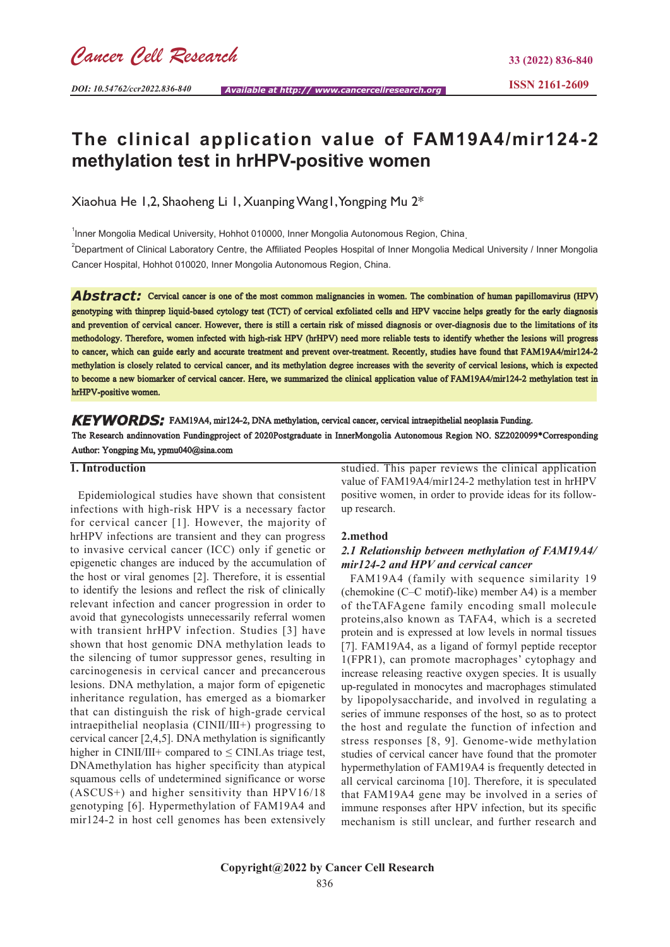# **The clinical application value of FAM19A4/mir124-2 methylation test in hrHPV-positive women**

Xiaohua He 1,2, Shaoheng Li 1, Xuanping Wang1, Yongping Mu 2\*

<sup>1</sup>Inner Mongolia Medical University, Hohhot 010000, Inner Mongolia Autonomous Region, China<sub>.</sub>

<sup>2</sup>Department of Clinical Laboratory Centre, the Affiliated Peoples Hospital of Inner Mongolia Medical University / Inner Mongolia Cancer Hospital, Hohhot 010020, Inner Mongolia Autonomous Region, China.

**Abstract:** Cervical cancer is one of the most common malignancies in women. The combination of human papillomavirus (HPV) genotyping with thinprep liquid-based cytology test (TCT) of cervical exfoliated cells and HPV vaccine helps greatly for the early diagnosis and prevention of cervical cancer. However, there is still a certain risk of missed diagnosis or over-diagnosis due to the limitations of its methodology. Therefore, women infected with high-risk HPV (hrHPV) need more reliable tests to identify whether the lesions will progress to cancer, which can guide early and accurate treatment and prevent over-treatment. Recently, studies have found that FAM19A4/mir124-2 methylation is closely related to cervical cancer, and its methylation degree increases with the severity of cervical lesions, which is expected to become a new biomarker of cervical cancer. Here, we summarized the clinical application value of FAM19A4/mir124-2 methylation test in hrHPV-positive women.

*KEYWORDS:* FAM19A4, mir124-2, DNA methylation, cervical cancer, cervical intraepithelial neoplasia Funding. The Research andinnovation Fundingproject of 2020Postgraduate in InnerMongolia Autonomous Region NO. SZ2020099\*Corresponding Author: Yongping Mu, ypmu040@sina.com

### **1. Introduction**

 Epidemiological studies have shown that consistent infections with high-risk HPV is a necessary factor for cervical cancer [1]. However, the majority of hrHPV infections are transient and they can progress to invasive cervical cancer (ICC) only if genetic or epigenetic changes are induced by the accumulation of the host or viral genomes [2]. Therefore, it is essential to identify the lesions and reflect the risk of clinically relevant infection and cancer progression in order to avoid that gynecologists unnecessarily referral women with transient hrHPV infection. Studies [3] have shown that host genomic DNA methylation leads to the silencing of tumor suppressor genes, resulting in carcinogenesis in cervical cancer and precancerous lesions. DNA methylation, a major form of epigenetic inheritance regulation, has emerged as a biomarker that can distinguish the risk of high-grade cervical intraepithelial neoplasia (CINⅡ/Ⅲ+) progressing to cervical cancer [2,4,5]. DNA methylation is significantly higher in CINII/III+ compared to  $\leq$  CINI. As triage test, DNAmethylation has higher specificity than atypical squamous cells of undetermined significance or worse (ASCUS+) and higher sensitivity than HPV16/18 genotyping [6]. Hypermethylation of FAM19A4 and mir124-2 in host cell genomes has been extensively

studied. This paper reviews the clinical application value of FAM19A4/mir124-2 methylation test in hrHPV positive women, in order to provide ideas for its followup research.

#### **2.method**

## *2.1 Relationship between methylation of FAM19A4/ mir124-2 and HPV and cervical cancer*

 FAM19A4 (family with sequence similarity 19 (chemokine (C–C motif)-like) member A4) is a member of theTAFAgene family encoding small molecule proteins,also known as TAFA4, which is a secreted protein and is expressed at low levels in normal tissues [7]. FAM19A4, as a ligand of formyl peptide receptor 1(FPR1), can promote macrophages' cytophagy and increase releasing reactive oxygen species. It is usually up-regulated in monocytes and macrophages stimulated by lipopolysaccharide, and involved in regulating a series of immune responses of the host, so as to protect the host and regulate the function of infection and stress responses [8, 9]. Genome-wide methylation studies of cervical cancer have found that the promoter hypermethylation of FAM19A4 is frequently detected in all cervical carcinoma [10]. Therefore, it is speculated that FAM19A4 gene may be involved in a series of immune responses after HPV infection, but its specific mechanism is still unclear, and further research and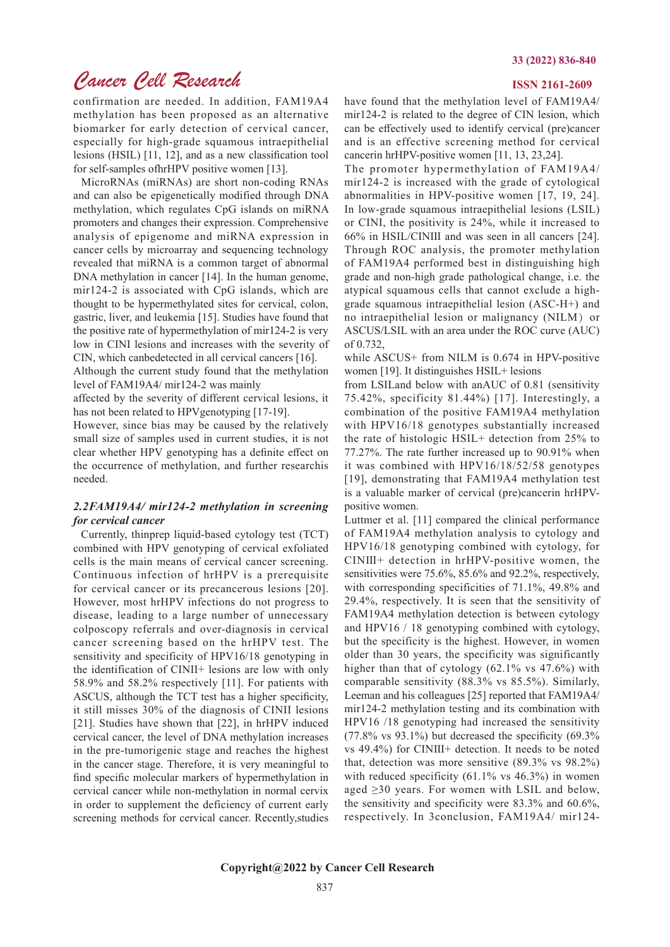#### **33 (2022) 836-840**

# *Cancer Cell Research*

confirmation are needed. In addition, FAM19A4 methylation has been proposed as an alternative biomarker for early detection of cervical cancer, especially for high-grade squamous intraepithelial lesions (HSIL) [11, 12], and as a new classification tool for self-samples ofhrHPV positive women [13].

 MicroRNAs (miRNAs) are short non-coding RNAs and can also be epigenetically modified through DNA methylation, which regulates CpG islands on miRNA promoters and changes their expression. Comprehensive analysis of epigenome and miRNA expression in cancer cells by microarray and sequencing technology revealed that miRNA is a common target of abnormal DNA methylation in cancer [14]. In the human genome, mir124-2 is associated with CpG islands, which are thought to be hypermethylated sites for cervical, colon, gastric, liver, and leukemia [15]. Studies have found that the positive rate of hypermethylation of mir124-2 is very low in CINⅠ lesions and increases with the severity of CIN, which canbedetected in all cervical cancers [16].

Although the current study found that the methylation level of FAM19A4/ mir124-2 was mainly

affected by the severity of different cervical lesions, it has not been related to HPVgenotyping [17-19].

However, since bias may be caused by the relatively small size of samples used in current studies, it is not clear whether HPV genotyping has a definite effect on the occurrence of methylation, and further researchis needed.

## *2.2FAM19A4/ mir124-2 methylation in screening for cervical cancer*

 Currently, thinprep liquid-based cytology test (TCT) combined with HPV genotyping of cervical exfoliated cells is the main means of cervical cancer screening. Continuous infection of hrHPV is a prerequisite for cervical cancer or its precancerous lesions [20]. However, most hrHPV infections do not progress to disease, leading to a large number of unnecessary colposcopy referrals and over-diagnosis in cervical cancer screening based on the hrHPV test. The sensitivity and specificity of HPV16/18 genotyping in the identification of CINII+ lesions are low with only 58.9% and 58.2% respectively [11]. For patients with ASCUS, although the TCT test has a higher specificity, it still misses 30% of the diagnosis of CINII lesions [21]. Studies have shown that [22], in hrHPV induced cervical cancer, the level of DNA methylation increases in the pre-tumorigenic stage and reaches the highest in the cancer stage. Therefore, it is very meaningful to find specific molecular markers of hypermethylation in cervical cancer while non-methylation in normal cervix in order to supplement the deficiency of current early screening methods for cervical cancer. Recently,studies

### **ISSN 2161-2609**

have found that the methylation level of FAM19A4/ mir124-2 is related to the degree of CIN lesion, which can be effectively used to identify cervical (pre)cancer and is an effective screening method for cervical cancerin hrHPV-positive women [11, 13, 23,24].

The promoter hypermethylation of FAM19A4/ mir124-2 is increased with the grade of cytological abnormalities in HPV-positive women [17, 19, 24]. In low-grade squamous intraepithelial lesions (LSIL) or CINⅠ, the positivity is 24%, while it increased to 66% in HSIL/CINⅢ and was seen in all cancers [24]. Through ROC analysis, the promoter methylation of FAM19A4 performed best in distinguishing high grade and non-high grade pathological change, i.e. the atypical squamous cells that cannot exclude a highgrade squamous intraepithelial lesion (ASC-H+) and no intraepithelial lesion or malignancy (NILM) or ASCUS/LSIL with an area under the ROC curve (AUC) of 0.732,

while ASCUS+ from NILM is 0.674 in HPV-positive women [19]. It distinguishes HSIL+ lesions

from LSILand below with anAUC of 0.81 (sensitivity 75.42%, specificity 81.44%) [17]. Interestingly, a combination of the positive FAM19A4 methylation with HPV16/18 genotypes substantially increased the rate of histologic HSIL+ detection from 25% to 77.27%. The rate further increased up to 90.91% when it was combined with HPV16/18/52/58 genotypes [19], demonstrating that FAM19A4 methylation test is a valuable marker of cervical (pre)cancerin hrHPVpositive women.

Luttmer et al. [11] compared the clinical performance of FAM19A4 methylation analysis to cytology and HPV16/18 genotyping combined with cytology, for CINⅢ+ detection in hrHPV-positive women, the sensitivities were 75.6%, 85.6% and 92.2%, respectively, with corresponding specificities of 71.1%, 49.8% and 29.4%, respectively. It is seen that the sensitivity of FAM19A4 methylation detection is between cytology and HPV16 / 18 genotyping combined with cytology, but the specificity is the highest. However, in women older than 30 years, the specificity was significantly higher than that of cytology (62.1% vs 47.6%) with comparable sensitivity (88.3% vs 85.5%). Similarly, Leeman and his colleagues [25] reported that FAM19A4/ mir124-2 methylation testing and its combination with HPV16 /18 genotyping had increased the sensitivity  $(77.8\% \text{ vs } 93.1\%)$  but decreased the specificity  $(69.3\%$ vs 49.4%) for CINⅢ+ detection. It needs to be noted that, detection was more sensitive (89.3% vs 98.2%) with reduced specificity (61.1% vs 46.3%) in women aged ≥30 years. For women with LSIL and below, the sensitivity and specificity were 83.3% and 60.6%, respectively. In 3conclusion, FAM19A4/ mir124-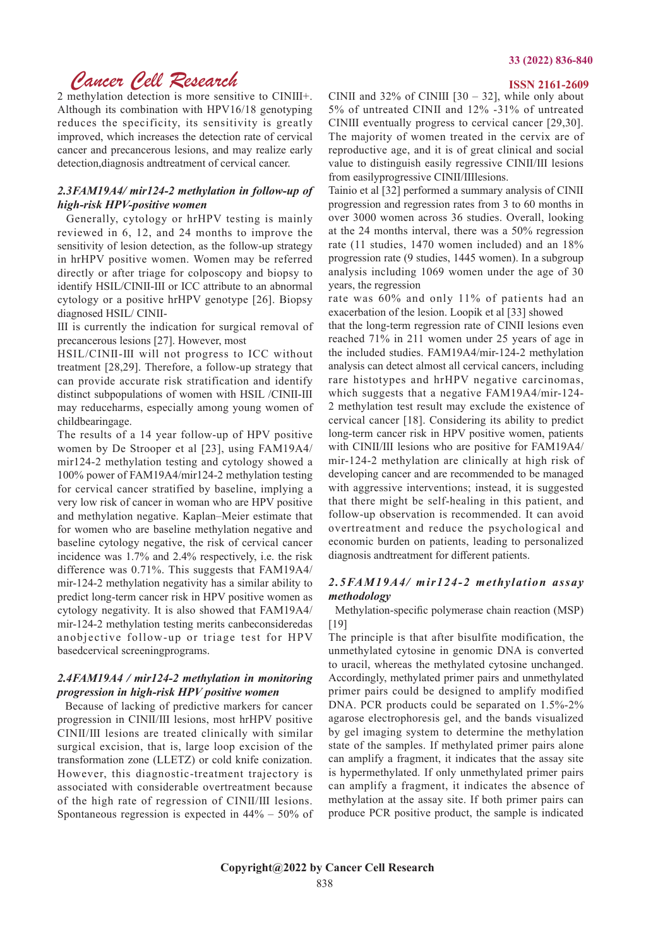# *Cancer Cell Research* **ISSN 2161-2609**

2 methylation detection is more sensitive to CINⅢ+. Although its combination with HPV16/18 genotyping reduces the specificity, its sensitivity is greatly improved, which increases the detection rate of cervical cancer and precancerous lesions, and may realize early detection,diagnosis andtreatment of cervical cancer.

## *2.3FAM19A4/ mir124-2 methylation in follow-up of high-risk HPV-positive women*

 Generally, cytology or hrHPV testing is mainly reviewed in 6, 12, and 24 months to improve the sensitivity of lesion detection, as the follow-up strategy in hrHPV positive women. Women may be referred directly or after triage for colposcopy and biopsy to identify HSIL/CINⅡ-Ⅲ or ICC attribute to an abnormal cytology or a positive hrHPV genotype [26]. Biopsy diagnosed HSIL/ CINⅡ-

Ⅲ is currently the indication for surgical removal of precancerous lesions [27]. However, most

HSIL/CINⅡ-Ⅲ will not progress to ICC without treatment [28,29]. Therefore, a follow-up strategy that can provide accurate risk stratification and identify distinct subpopulations of women with HSIL /CINⅡ-Ⅲ may reduceharms, especially among young women of childbearingage.

The results of a 14 year follow-up of HPV positive women by De Strooper et al [23], using FAM19A4/ mir124-2 methylation testing and cytology showed a 100% power of FAM19A4/mir124-2 methylation testing for cervical cancer stratified by baseline, implying a very low risk of cancer in woman who are HPV positive and methylation negative. Kaplan–Meier estimate that for women who are baseline methylation negative and baseline cytology negative, the risk of cervical cancer incidence was 1.7% and 2.4% respectively, i.e. the risk difference was 0.71%. This suggests that FAM19A4/ mir-124-2 methylation negativity has a similar ability to predict long-term cancer risk in HPV positive women as cytology negativity. It is also showed that FAM19A4/ mir-124-2 methylation testing merits canbeconsideredas anobjective follow-up or triage test for HPV basedcervical screeningprograms.

### *2.4FAM19A4 / mir124-2 methylation in monitoring progression in high-risk HPV positive women*

 Because of lacking of predictive markers for cancer progression in CINⅡ/Ⅲ lesions, most hrHPV positive CINⅡ/Ⅲ lesions are treated clinically with similar surgical excision, that is, large loop excision of the transformation zone (LLETZ) or cold knife conization. However, this diagnostic-treatment trajectory is associated with considerable overtreatment because of the high rate of regression of CINⅡ/Ⅲ lesions. Spontaneous regression is expected in 44% – 50% of

CINII and  $32\%$  of CINIII [30 – 32], while only about 5% of untreated CINⅡ and 12% -31% of untreated CINⅢ eventually progress to cervical cancer [29,30]. The majority of women treated in the cervix are of reproductive age, and it is of great clinical and social value to distinguish easily regressive CINⅡ/Ⅲ lesions from easilyprogressive CINⅡ/Ⅲlesions.

Tainio et al [32] performed a summary analysis of CINⅡ progression and regression rates from 3 to 60 months in over 3000 women across 36 studies. Overall, looking at the 24 months interval, there was a 50% regression rate (11 studies, 1470 women included) and an 18% progression rate (9 studies, 1445 women). In a subgroup analysis including 1069 women under the age of 30 years, the regression

rate was 60% and only 11% of patients had an exacerbation of the lesion. Loopik et al [33] showed

that the long-term regression rate of CINⅡ lesions even reached 71% in 211 women under 25 years of age in the included studies. FAM19A4/mir-124-2 methylation analysis can detect almost all cervical cancers, including rare histotypes and hrHPV negative carcinomas, which suggests that a negative FAM19A4/mir-124- 2 methylation test result may exclude the existence of cervical cancer [18]. Considering its ability to predict long-term cancer risk in HPV positive women, patients with CINII/III lesions who are positive for FAM19A4/ mir-124-2 methylation are clinically at high risk of developing cancer and are recommended to be managed with aggressive interventions; instead, it is suggested that there might be self-healing in this patient, and follow-up observation is recommended. It can avoid overtreatment and reduce the psychological and economic burden on patients, leading to personalized diagnosis andtreatment for different patients.

### *2.5FAM19A4/ mir124-2 methylation assay methodology*

 Methylation-specific polymerase chain reaction (MSP) [19]

The principle is that after bisulfite modification, the unmethylated cytosine in genomic DNA is converted to uracil, whereas the methylated cytosine unchanged. Accordingly, methylated primer pairs and unmethylated primer pairs could be designed to amplify modified DNA. PCR products could be separated on 1.5%-2% agarose electrophoresis gel, and the bands visualized by gel imaging system to determine the methylation state of the samples. If methylated primer pairs alone can amplify a fragment, it indicates that the assay site is hypermethylated. If only unmethylated primer pairs can amplify a fragment, it indicates the absence of methylation at the assay site. If both primer pairs can produce PCR positive product, the sample is indicated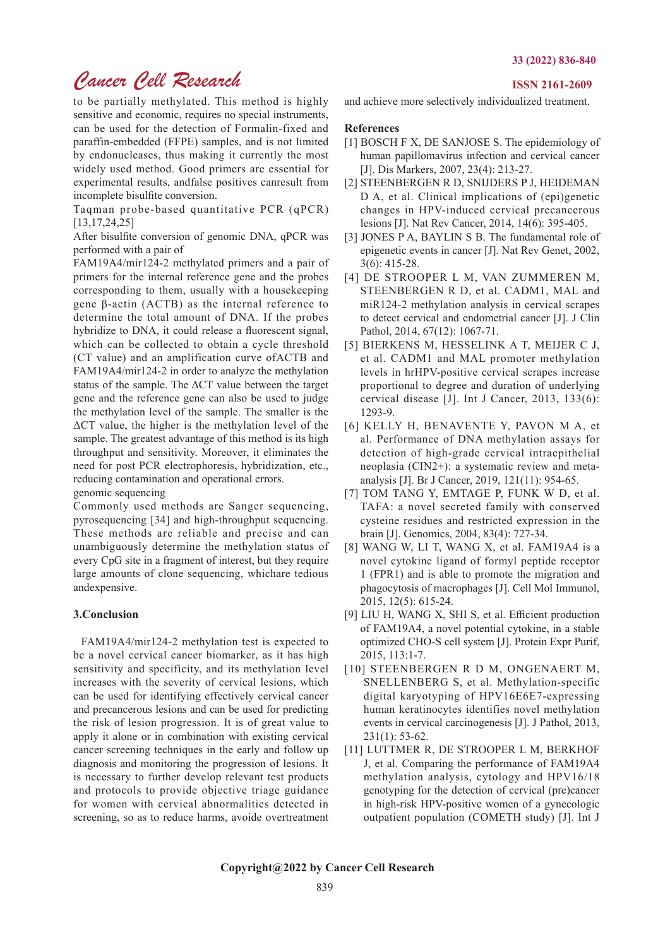# *Cancer Cell Research*

to be partially methylated. This method is highly sensitive and economic, requires no special instruments, can be used for the detection of Formalin-fixed and paraffin-embedded (FFPE) samples, and is not limited by endonucleases, thus making it currently the most widely used method. Good primers are essential for experimental results, andfalse positives canresult from incomplete bisulfite conversion.

Taqman probe-based quantitative PCR (qPCR) [13,17,24,25]

After bisulfite conversion of genomic DNA, qPCR was performed with a pair of

FAM19A4/mir124-2 methylated primers and a pair of primers for the internal reference gene and the probes corresponding to them, usually with a housekeeping gene β-actin (ACTB) as the internal reference to determine the total amount of DNA. If the probes hybridize to DNA, it could release a fluorescent signal, which can be collected to obtain a cycle threshold (CT value) and an amplification curve ofACTB and FAM19A4/mir124-2 in order to analyze the methylation status of the sample. The ΔCT value between the target gene and the reference gene can also be used to judge the methylation level of the sample. The smaller is the ΔCT value, the higher is the methylation level of the sample. The greatest advantage of this method is its high throughput and sensitivity. Moreover, it eliminates the need for post PCR electrophoresis, hybridization, etc., reducing contamination and operational errors.

genomic sequencing

Commonly used methods are Sanger sequencing, pyrosequencing [34] and high-throughput sequencing. These methods are reliable and precise and can unambiguously determine the methylation status of every CpG site in a fragment of interest, but they require large amounts of clone sequencing, whichare tedious andexpensive.

# **3.Conclusion**

 FAM19A4/mir124-2 methylation test is expected to be a novel cervical cancer biomarker, as it has high sensitivity and specificity, and its methylation level increases with the severity of cervical lesions, which can be used for identifying effectively cervical cancer and precancerous lesions and can be used for predicting the risk of lesion progression. It is of great value to apply it alone or in combination with existing cervical cancer screening techniques in the early and follow up diagnosis and monitoring the progression of lesions. It is necessary to further develop relevant test products and protocols to provide objective triage guidance for women with cervical abnormalities detected in screening, so as to reduce harms, avoide overtreatment

#### **ISSN 2161-2609**

and achieve more selectively individualized treatment.

### **References**

- [1] BOSCH F X, DE SANJOSE S. The epidemiology of human papillomavirus infection and cervical cancer [J]. Dis Markers, 2007, 23(4): 213-27.
- [2] STEENBERGEN R D, SNIJDERS P J, HEIDEMAN D A, et al. Clinical implications of (epi)genetic changes in HPV-induced cervical precancerous lesions [J]. Nat Rev Cancer, 2014, 14(6): 395-405.
- [3] JONES P A, BAYLIN S B. The fundamental role of epigenetic events in cancer [J]. Nat Rev Genet, 2002, 3(6): 415-28.
- [4] DE STROOPER L M, VAN ZUMMEREN M, STEENBERGEN R D, et al. CADM1, MAL and miR124-2 methylation analysis in cervical scrapes to detect cervical and endometrial cancer [J]. J Clin Pathol, 2014, 67(12): 1067-71.
- [5] BIERKENS M, HESSELINK A T, MEIJER C J, et al. CADM1 and MAL promoter methylation levels in hrHPV-positive cervical scrapes increase proportional to degree and duration of underlying cervical disease [J]. Int J Cancer, 2013, 133(6): 1293-9.
- [6] KELLY H, BENAVENTE Y, PAVON M A, et al. Performance of DNA methylation assays for detection of high-grade cervical intraepithelial neoplasia (CIN2+): a systematic review and metaanalysis [J]. Br J Cancer, 2019, 121(11): 954-65.
- [7] TOM TANG Y, EMTAGE P, FUNK W D, et al. TAFA: a novel secreted family with conserved cysteine residues and restricted expression in the brain [J]. Genomics, 2004, 83(4): 727-34.
- [8] WANG W, LI T, WANG X, et al. FAM19A4 is a novel cytokine ligand of formyl peptide receptor 1 (FPR1) and is able to promote the migration and phagocytosis of macrophages [J]. Cell Mol Immunol, 2015, 12(5): 615-24.
- [9] LIU H, WANG X, SHI S, et al. Efficient production of FAM19A4, a novel potential cytokine, in a stable optimized CHO-S cell system [J]. Protein Expr Purif, 2015, 113:1-7.
- [10] STEENBERGEN R D M, ONGENAERT M, SNELLENBERG S, et al. Methylation-specific digital karyotyping of HPV16E6E7-expressing human keratinocytes identifies novel methylation events in cervical carcinogenesis [J]. J Pathol, 2013, 231(1): 53-62.
- [11] LUTTMER R, DE STROOPER L M, BERKHOF J, et al. Comparing the performance of FAM19A4 methylation analysis, cytology and HPV16/18 genotyping for the detection of cervical (pre)cancer in high-risk HPV-positive women of a gynecologic outpatient population (COMETH study) [J]. Int J

**Copyright@2022 by Cancer Cell Research**